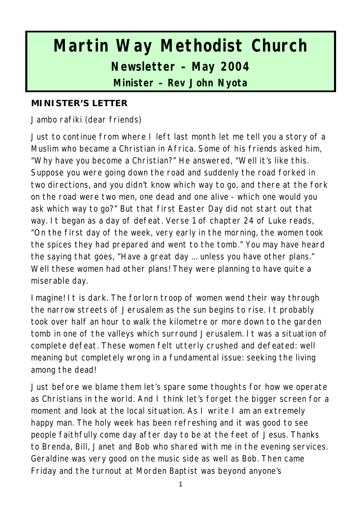# **Martin Way Methodist Church Newsletter – May 2004 Minister – Rev John Nyota**

#### **MINISTER'S LETTER**

Jambo rafiki (dear friends)

Just to continue from where I left last month let me tell you a story of a Muslim who became a Christian in Africa. Some of his friends asked him, "Why have you become a Christian?" He answered, "Well it's like this. Suppose you were going down the road and suddenly the road forked in two directions, and you didn't know which way to go, and there at the fork on the road were two men, one dead and one alive - which one would you ask which way to go?" But that first Easter Day did not start out that way. It began as a day of defeat. Verse 1 of chapter 24 of Luke reads, "On the first day of the week, very early in the morning, the women took the spices they had prepared and went to the tomb." You may have heard the saying that goes, "Have a great day ... unless you have other plans." Well these women had other plans! They were planning to have quite a miserable day.

Imagine! It is dark. The forlorn troop of women wend their way through the narrow streets of Jerusalem as the sun begins to rise. It probably took over half an hour to walk the kilometre or more down to the garden tomb in one of the valleys which surround Jerusalem. It was a situation of complete defeat. These women felt utterly crushed and defeated: well meaning but completely wrong in a fundamental issue: seeking the living among the dead!

Just before we blame them let's spare some thoughts for how we operate as Christians in the world. And I think let's forget the bigger screen for a moment and look at the local situation. As I write I am an extremely happy man. The holy week has been refreshing and it was good to see people faithfully come day after day to be at the feet of Jesus. Thanks to Brenda, Bill, Janet and Bob who shared with me in the evening services. Geraldine was very good on the music side as well as Bob. Then came Friday and the turnout at Morden Baptist was beyond anyone's

1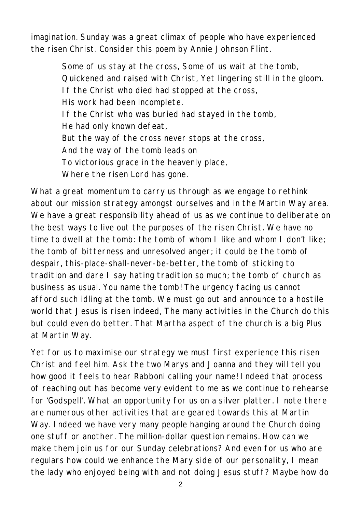imagination. Sunday was a great climax of people who have experienced the risen Christ. Consider this poem by Annie Johnson Flint.

> Some of us stay at the cross, Some of us wait at the tomb, Quickened and raised with Christ, Yet lingering still in the gloom. If the Christ who died had stopped at the cross, His work had been incomplete. If the Christ who was buried had stayed in the tomb, He had only known defeat, But the way of the cross never stops at the cross, And the way of the tomb leads on To victorious grace in the heavenly place, Where the risen Lord has gone.

What a great momentum to carry us through as we engage to rethink about our mission strategy amongst ourselves and in the Martin Way area. We have a great responsibility ahead of us as we continue to deliberate on the best ways to live out the purposes of the risen Christ. We have no time to dwell at the tomb: the tomb of whom I like and whom I don't like; the tomb of bitterness and unresolved anger; it could be the tomb of despair, this-place-shall-never-be-better, the tomb of sticking to tradition and dare I say hating tradition so much; the tomb of church as business as usual. You name the tomb! The urgency facing us cannot afford such idling at the tomb. We must go out and announce to a hostile world that Jesus is risen indeed, The many activities in the Church do this but could even do better. That Martha aspect of the church is a big Plus at Martin Way.

Yet for us to maximise our strategy we must first experience this risen Christ and feel him. Ask the two Marys and Joanna and they will tell you how good it feels to hear Rabboni calling your name! Indeed that process of reaching out has become very evident to me as we continue to rehearse for 'Godspell'. What an opportunity for us on a silver platter. I note there are numerous other activities that are geared towards this at Martin Way. Indeed we have very many people hanging around the Church doing one stuff or another. The million-dollar question remains. How can we make them join us for our Sunday celebrations? And even for us who are regulars how could we enhance the Mary side of our personality, I mean the lady who enjoyed being with and not doing Jesus stuff? Maybe how do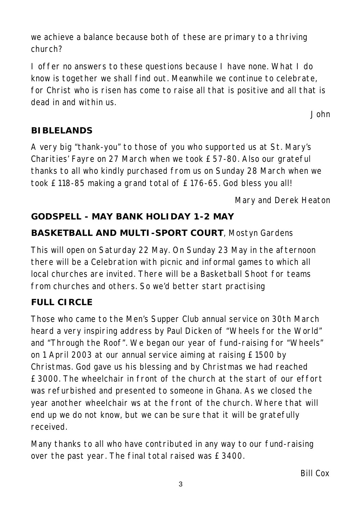we achieve a balance because both of these are primary to a thriving church?

I offer no answers to these questions because I have none. What I do know is together we shall find out. Meanwhile we continue to celebrate, for Christ who is risen has come to raise all that is positive and all that is dead in and within us.

*John*

## **BIBLELANDS**

A very big "thank-you" to those of you who supported us at St. Mary's Charities' Fayre on 27 March when we took £57-80. Also our grateful thanks to all who kindly purchased from us on Sunday 28 March when we took £118-85 making a grand total of £176-65. God bless you all!

*Mary and Derek Heaton*

# **GODSPELL - MAY BANK HOLIDAY 1-2 MAY**

## **BASKETBALL AND MULTI-SPORT COURT**, Mostyn Gardens

This will open on Saturday 22 May. On Sunday 23 May in the afternoon there will be a Celebration with picnic and informal games to which all local churches are invited. There will be a Basketball Shoot for teams from churches and others. So we'd better start practising

# **FULL CIRCLE**

Those who came to the Men's Supper Club annual service on 30th March heard a very inspiring address by Paul Dicken of "Wheels for the World" and "Through the Roof". We began our year of fund-raising for "Wheels" on 1 April 2003 at our annual service aiming at raising £1500 by Christmas. God gave us his blessing and by Christmas we had reached £3000. The wheelchair in front of the church at the start of our effort was refurbished and presented to someone in Ghana. As we closed the year another wheelchair ws at the front of the church. Where that will end up we do not know, but we can be sure that it will be gratefully received.

Many thanks to all who have contributed in any way to our fund-raising over the past year. The final total raised was £3400.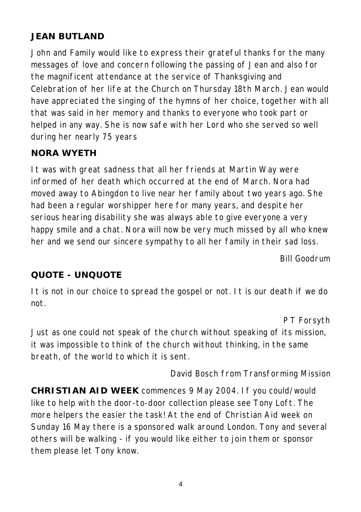## **JEAN BUTLAND**

John and Family would like to express their grateful thanks for the many messages of love and concern following the passing of Jean and also for the magnificent attendance at the service of Thanksgiving and Celebration of her life at the Church on Thursday 18th March. Jean would have appreciated the singing of the hymns of her choice, together with all that was said in her memory and thanks to everyone who took part or helped in any way. She is now safe with her Lord who she served so well during her nearly 75 years

### **NORA WYETH**

It was with great sadness that all her friends at Martin Way were informed of her death which occurred at the end of March. Nora had moved away to Abingdon to live near her family about two years ago. She had been a regular worshipper here for many years, and despite her serious hearing disability she was always able to give everyone a very happy smile and a chat. Nora will now be very much missed by all who knew her and we send our sincere sympathy to all her family in their sad loss.

*Bill Goodrum*

#### **QUOTE - UNQUOTE**

It is not in our choice to spread the gospel or not. It is our death if we do not.

*P T Forsyth*

Just as one could not speak of the church without speaking of its mission, it was impossible to think of the church without thinking, in the same breath, of the world to which it is sent.

#### *David Bosch from Transforming Mission*

**CHRISTIAN AID WEEK** commences 9 May 2004. If you could/would like to help with the door-to-door collection please see Tony Loft. The more helpers the easier the task! At the end of Christian Aid week on Sunday 16 May there is a sponsored walk around London. Tony and several others will be walking - if you would like either to join them or sponsor them please let Tony know.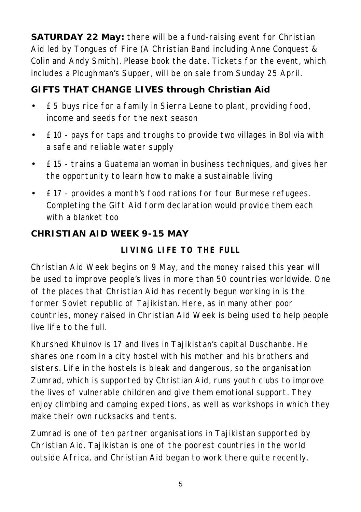**SATURDAY 22 May:** there will be a fund-raising event for Christian Aid led by Tongues of Fire (A Christian Band including Anne Conquest & Colin and Andy Smith). Please book the date. Tickets for the event, which includes a Ploughman's Supper, will be on sale from Sunday 25 April.

## **GIFTS THAT CHANGE LIVES through Christian Aid**

- £5 buys rice for a family in Sierra Leone to plant, providing food, income and seeds for the next season
- £10 pays for taps and troughs to provide two villages in Bolivia with a safe and reliable water supply
- £15 trains a Guatemalan woman in business techniques, and gives her the opportunity to learn how to make a sustainable living
- £17 provides a month's food rations for four Burmese refugees. Completing the Gift Aid form declaration would provide them each with a blanket too

## **CHRISTIAN AID WEEK 9-15 MAY**

## **LIVING LIFE TO THE FULL**

Christian Aid Week begins on 9 May, and the money raised this year will be used to improve people's lives in more than 50 countries worldwide. One of the places that Christian Aid has recently begun working in is the former Soviet republic of Tajikistan. Here, as in many other poor countries, money raised in Christian Aid Week is being used to help people live life to the full.

Khurshed Khuinov is 17 and lives in Tajikistan's capital Duschanbe. He shares one room in a city hostel with his mother and his brothers and sisters. Life in the hostels is bleak and dangerous, so the organisation Zumrad, which is supported by Christian Aid, runs youth clubs to improve the lives of vulnerable children and give them emotional support. They enjoy climbing and camping expeditions, as well as workshops in which they make their own rucksacks and tents.

Zumrad is one of ten partner organisations in Tajikistan supported by Christian Aid. Tajikistan is one of the poorest countries in the world outside Africa, and Christian Aid began to work there quite recently.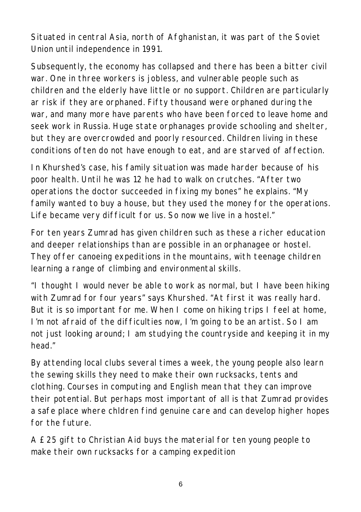Situated in central Asia, north of Afghanistan, it was part of the Soviet Union until independence in 1991.

Subsequently, the economy has collapsed and there has been a bitter civil war. One in three workers is jobless, and vulnerable people such as children and the elderly have little or no support. Children are particularly ar risk if they are orphaned. Fifty thousand were orphaned during the war, and many more have parents who have been forced to leave home and seek work in Russia. Huge state orphanages provide schooling and shelter, but they are overcrowded and poorly resourced. Children living in these conditions often do not have enough to eat, and are starved of affection.

In Khurshed's case, his family situation was made harder because of his poor health. Until he was 12 he had to walk on crutches. "After two operations the doctor succeeded in fixing my bones" he explains. "My family wanted to buy a house, but they used the money for the operations. Life became very difficult for us. So now we live in a hostel."

For ten years Zumrad has given children such as these a richer education and deeper relationships than are possible in an orphanagee or hostel. They offer canoeing expeditions in the mountains, with teenage children learning a range of climbing and environmental skills.

"I thought I would never be able to work as normal, but I have been hiking with Zumrad for four years" says Khurshed. "At first it was really hard. But it is so important for me. When I come on hiking trips I feel at home, I'm not afraid of the difficulties now, I'm going to be an artist. So I am not just looking around; I am studying the countryside and keeping it in my head."

By attending local clubs several times a week, the young people also learn the sewing skills they need to make their own rucksacks, tents and clothing. Courses in computing and English mean that they can improve their potential. But perhaps most important of all is that Zumrad provides a safe place where chldren find genuine care and can develop higher hopes for the future.

A £25 gift to Christian Aid buys the material for ten young people to make their own rucksacks for a camping expedition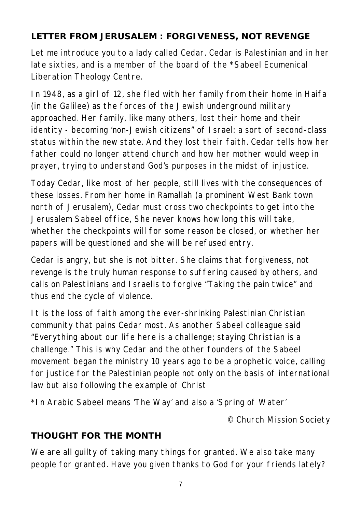## **LETTER FROM JERUSALEM : FORGIVENESS, NOT REVENGE**

Let me introduce you to a lady called Cedar. Cedar is Palestinian and in her late sixties, and is a member of the board of the \*Sabeel Ecumenical Liberation Theology Centre.

In 1948, as a girl of 12, she fled with her family from their home in Haifa (in the Galilee) as the forces of the Jewish underground military approached. Her family, like many others, lost their home and their identity - becoming 'non-Jewish citizens" of Israel: a sort of second-class status within the new state. And they lost their faith. Cedar tells how her father could no longer attend church and how her mother would weep in prayer, trying to understand God's purposes in the midst of injustice.

Today Cedar, like most of her people, still lives with the consequences of these losses. From her home in Ramallah (a prominent West Bank town north of Jerusalem), Cedar must cross two checkpoints to get into the Jerusalem Sabeel office, She never knows how long this will take, whether the checkpoints will for some reason be closed, or whether her papers will be questioned and she will be refused entry.

Cedar is angry, but she is not bitter. She claims that forgiveness, not revenge is the truly human response to suffering caused by others, and calls on Palestinians and Israelis to forgive "Taking the pain twice" and thus end the cycle of violence.

It is the loss of faith among the ever-shrinking Palestinian Christian community that pains Cedar most. As another Sabeel colleague said "Everything about our life here is a challenge; staying Christian is a challenge." This is why Cedar and the other founders of the Sabeel movement began the ministry 10 years ago to be a prophetic voice, calling for justice for the Palestinian people not only on the basis of international law but also following the example of Christ

*\*In Arabic Sabeel means 'The Way' and also a 'Spring of Water'*

*© Church Mission Society*

## **THOUGHT FOR THE MONTH**

We are all guilty of taking many things for granted. We also take many people for granted. Have you given thanks to God for your friends lately?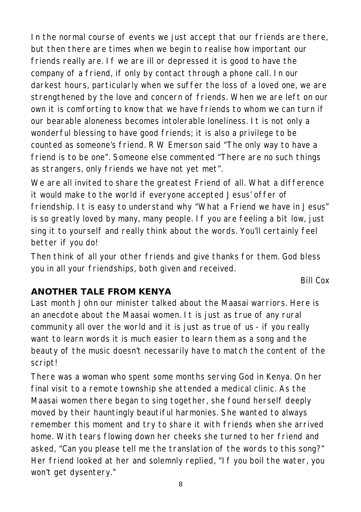In the normal course of events we just accept that our friends are there, but then there are times when we begin to realise how important our friends really are. If we are ill or depressed it is good to have the company of a friend, if only by contact through a phone call. In our darkest hours, particularly when we suffer the loss of a loved one, we are strengthened by the love and concern of friends. When we are left on our own it is comforting to know that we have friends to whom we can turn if our bearable aloneness becomes intolerable loneliness. It is not only a wonderful blessing to have good friends; it is also a privilege to be counted as someone's friend. R W Emerson said "The only way to have a friend is to be one". Someone else commented "There are no such things as strangers, only friends we have not yet met".

We are all invited to share the greatest Friend of all. What a difference it would make to the world if everyone accepted Jesus' offer of friendship. It is easy to understand why "What a Friend we have in Jesus" is so greatly loved by many, many people. If you are feeling a bit low, just sing it to yourself and really think about the words. You'll certainly feel better if you do!

Then think of all your other friends and give thanks for them. God bless you in all your friendships, both given and received.

*Bill Cox*

## **ANOTHER TALE FROM KENYA**

Last month John our minister talked about the Maasai warriors. Here is an anecdote about the Maasai women. It is just as true of any rural community all over the world and it is just as true of us - if you really want to learn words it is much easier to learn them as a song and the beauty of the music doesn't necessarily have to match the content of the script!

There was a woman who spent some months serving God in Kenya. On her final visit to a remote township she attended a medical clinic. As the Maasai women there began to sing together, she found herself deeply moved by their hauntingly beautiful harmonies. She wanted to always remember this moment and try to share it with friends when she arrived home. With tears flowing down her cheeks she turned to her friend and asked, "Can you please tell me the translation of the words to this song?" Her friend looked at her and solemnly replied, "If you boil the water, you won't get dysentery."